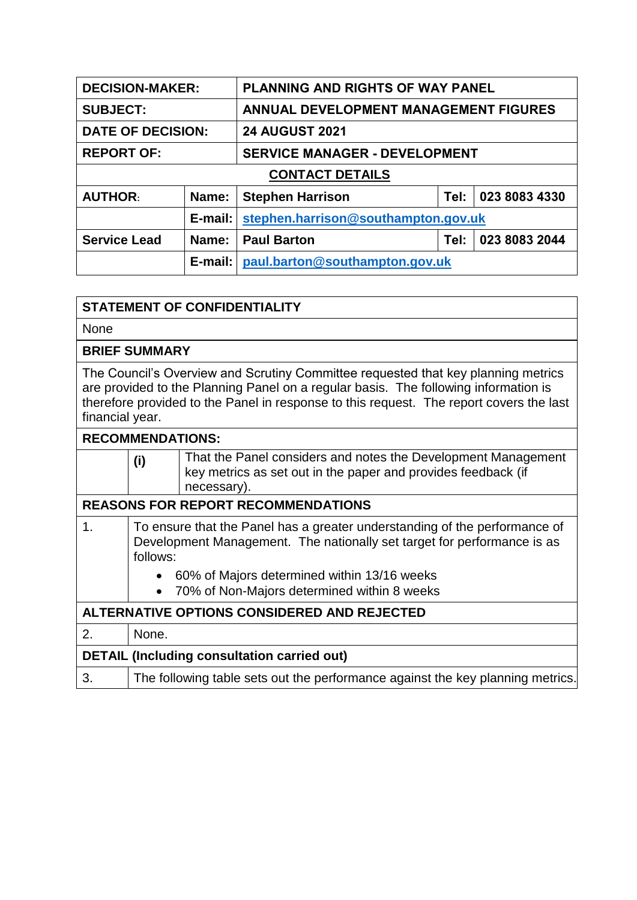| <b>DECISION-MAKER:</b>   |            | <b>PLANNING AND RIGHTS OF WAY PANEL</b> |      |               |  |
|--------------------------|------------|-----------------------------------------|------|---------------|--|
| <b>SUBJECT:</b>          |            | ANNUAL DEVELOPMENT MANAGEMENT FIGURES   |      |               |  |
| <b>DATE OF DECISION:</b> |            | <b>24 AUGUST 2021</b>                   |      |               |  |
| <b>REPORT OF:</b>        |            | <b>SERVICE MANAGER - DEVELOPMENT</b>    |      |               |  |
| <b>CONTACT DETAILS</b>   |            |                                         |      |               |  |
| <b>AUTHOR:</b>           | Name:      | <b>Stephen Harrison</b>                 | Tel: | 023 8083 4330 |  |
|                          | $E$ -mail: | stephen.harrison@southampton.gov.uk     |      |               |  |
| <b>Service Lead</b>      | Name:      | <b>Paul Barton</b>                      | Tel: | 023 8083 2044 |  |
|                          | $E$ -mail: | paul.barton@southampton.gov.uk          |      |               |  |

| <b>STATEMENT OF CONFIDENTIALITY</b>                                                                                                                                                                                                                                                    |                                                                                                                                                                   |                                                                                                                                               |  |  |  |
|----------------------------------------------------------------------------------------------------------------------------------------------------------------------------------------------------------------------------------------------------------------------------------------|-------------------------------------------------------------------------------------------------------------------------------------------------------------------|-----------------------------------------------------------------------------------------------------------------------------------------------|--|--|--|
| <b>None</b>                                                                                                                                                                                                                                                                            |                                                                                                                                                                   |                                                                                                                                               |  |  |  |
|                                                                                                                                                                                                                                                                                        | <b>BRIEF SUMMARY</b>                                                                                                                                              |                                                                                                                                               |  |  |  |
| The Council's Overview and Scrutiny Committee requested that key planning metrics<br>are provided to the Planning Panel on a regular basis. The following information is<br>therefore provided to the Panel in response to this request. The report covers the last<br>financial year. |                                                                                                                                                                   |                                                                                                                                               |  |  |  |
|                                                                                                                                                                                                                                                                                        | <b>RECOMMENDATIONS:</b>                                                                                                                                           |                                                                                                                                               |  |  |  |
|                                                                                                                                                                                                                                                                                        | (i)                                                                                                                                                               | That the Panel considers and notes the Development Management<br>key metrics as set out in the paper and provides feedback (if<br>necessary). |  |  |  |
|                                                                                                                                                                                                                                                                                        |                                                                                                                                                                   | <b>REASONS FOR REPORT RECOMMENDATIONS</b>                                                                                                     |  |  |  |
| $\mathbf 1$ .                                                                                                                                                                                                                                                                          | To ensure that the Panel has a greater understanding of the performance of<br>Development Management. The nationally set target for performance is as<br>follows: |                                                                                                                                               |  |  |  |
|                                                                                                                                                                                                                                                                                        | 60% of Majors determined within 13/16 weeks                                                                                                                       |                                                                                                                                               |  |  |  |
|                                                                                                                                                                                                                                                                                        | $\bullet$                                                                                                                                                         | 70% of Non-Majors determined within 8 weeks                                                                                                   |  |  |  |
| ALTERNATIVE OPTIONS CONSIDERED AND REJECTED                                                                                                                                                                                                                                            |                                                                                                                                                                   |                                                                                                                                               |  |  |  |
| 2.                                                                                                                                                                                                                                                                                     | None.                                                                                                                                                             |                                                                                                                                               |  |  |  |
| <b>DETAIL (Including consultation carried out)</b>                                                                                                                                                                                                                                     |                                                                                                                                                                   |                                                                                                                                               |  |  |  |
| 3.                                                                                                                                                                                                                                                                                     |                                                                                                                                                                   | The following table sets out the performance against the key planning metrics.                                                                |  |  |  |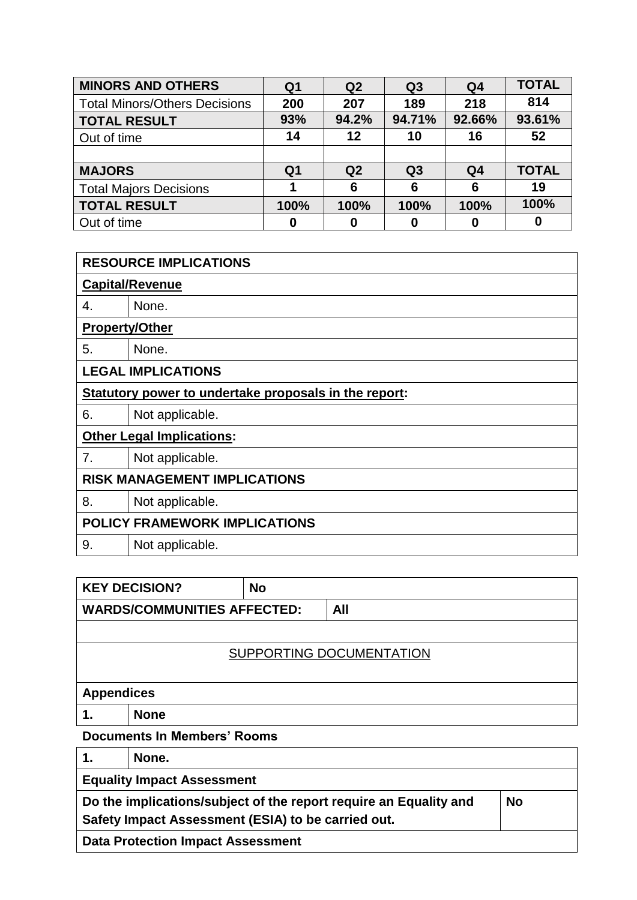| <b>MINORS AND OTHERS</b>             | Q <sub>1</sub> | Q <sub>2</sub> | Q <sub>3</sub> | Q <sub>4</sub> | <b>TOTAL</b> |
|--------------------------------------|----------------|----------------|----------------|----------------|--------------|
| <b>Total Minors/Others Decisions</b> | 200            | 207            | 189            | 218            | 814          |
| <b>TOTAL RESULT</b>                  | 93%            | 94.2%          | 94.71%         | 92.66%         | 93.61%       |
| Out of time                          | 14             | 12             | 10             | 16             | 52           |
|                                      |                |                |                |                |              |
| <b>MAJORS</b>                        | Q <sub>1</sub> | Q <sub>2</sub> | Q <sub>3</sub> | Q <sub>4</sub> | <b>TOTAL</b> |
| <b>Total Majors Decisions</b>        |                | 6              | 6              | 6              | 19           |
| <b>TOTAL RESULT</b>                  | 100%           | 100%           | 100%           | 100%           | 100%         |
| Out of time                          | 0              | 0              |                | 0              | 0            |

| <b>RESOURCE IMPLICATIONS</b>                          |                                  |  |  |  |  |
|-------------------------------------------------------|----------------------------------|--|--|--|--|
|                                                       | <b>Capital/Revenue</b>           |  |  |  |  |
| 4.                                                    | None.                            |  |  |  |  |
|                                                       | <b>Property/Other</b>            |  |  |  |  |
| 5.                                                    | None.                            |  |  |  |  |
|                                                       | <b>LEGAL IMPLICATIONS</b>        |  |  |  |  |
| Statutory power to undertake proposals in the report: |                                  |  |  |  |  |
| 6.                                                    | Not applicable.                  |  |  |  |  |
|                                                       | <b>Other Legal Implications:</b> |  |  |  |  |
| 7.                                                    | Not applicable.                  |  |  |  |  |
| <b>RISK MANAGEMENT IMPLICATIONS</b>                   |                                  |  |  |  |  |
| 8.                                                    | Not applicable.                  |  |  |  |  |
| <b>POLICY FRAMEWORK IMPLICATIONS</b>                  |                                  |  |  |  |  |
| 9.                                                    | Not applicable.                  |  |  |  |  |

|                                                                                                                                      | <b>KEY DECISION?</b> | <b>No</b> |     |  |
|--------------------------------------------------------------------------------------------------------------------------------------|----------------------|-----------|-----|--|
| <b>WARDS/COMMUNITIES AFFECTED:</b>                                                                                                   |                      |           | All |  |
|                                                                                                                                      |                      |           |     |  |
| SUPPORTING DOCUMENTATION                                                                                                             |                      |           |     |  |
|                                                                                                                                      |                      |           |     |  |
| <b>Appendices</b>                                                                                                                    |                      |           |     |  |
| 1.                                                                                                                                   | <b>None</b>          |           |     |  |
| <b>Documents In Members' Rooms</b>                                                                                                   |                      |           |     |  |
| 1.                                                                                                                                   | None.                |           |     |  |
| <b>Equality Impact Assessment</b>                                                                                                    |                      |           |     |  |
| Do the implications/subject of the report require an Equality and<br><b>No</b><br>Safety Impact Assessment (ESIA) to be carried out. |                      |           |     |  |

**Data Protection Impact Assessment**